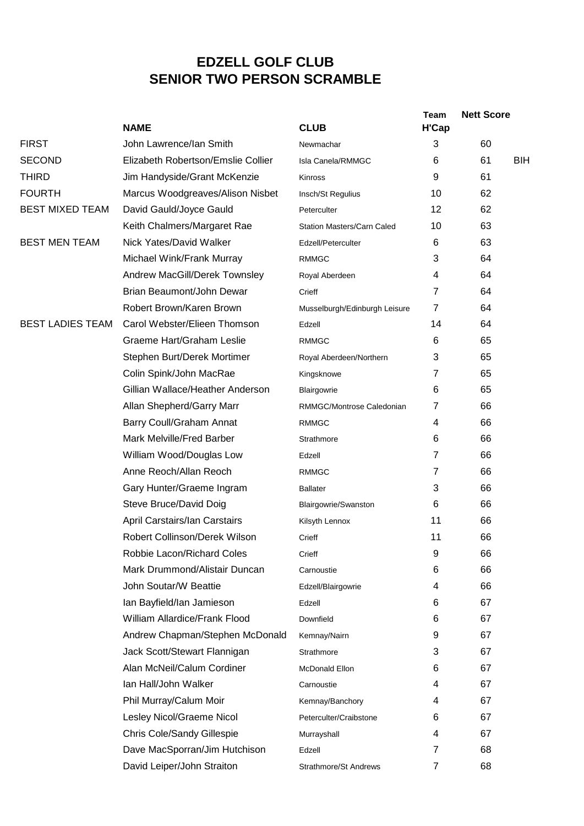## **EDZELL GOLF CLUB SENIOR TWO PERSON SCRAMBLE**

|                         | <b>NAME</b>                        | <b>CLUB</b>                       | <b>Team</b><br><b>H'Cap</b> | <b>Nett Score</b> |
|-------------------------|------------------------------------|-----------------------------------|-----------------------------|-------------------|
| <b>FIRST</b>            | John Lawrence/Ian Smith            | Newmachar                         | 3                           | 60                |
| <b>SECOND</b>           | Elizabeth Robertson/Emslie Collier | Isla Canela/RMMGC                 | 6                           | 61<br><b>BIH</b>  |
| <b>THIRD</b>            | Jim Handyside/Grant McKenzie       | Kinross                           | 9                           | 61                |
| <b>FOURTH</b>           | Marcus Woodgreaves/Alison Nisbet   | Insch/St Regulius                 | 10                          | 62                |
| <b>BEST MIXED TEAM</b>  | David Gauld/Joyce Gauld            | Peterculter                       | 12                          | 62                |
|                         | Keith Chalmers/Margaret Rae        | <b>Station Masters/Carn Caled</b> | 10                          | 63                |
| <b>BEST MEN TEAM</b>    | Nick Yates/David Walker            | Edzell/Peterculter                | 6                           | 63                |
|                         | Michael Wink/Frank Murray          | <b>RMMGC</b>                      | 3                           | 64                |
|                         | Andrew MacGill/Derek Townsley      | Royal Aberdeen                    | 4                           | 64                |
|                         | Brian Beaumont/John Dewar          | Crieff                            | 7                           | 64                |
|                         | Robert Brown/Karen Brown           | Musselburgh/Edinburgh Leisure     | $\overline{7}$              | 64                |
| <b>BEST LADIES TEAM</b> | Carol Webster/Elieen Thomson       | Edzell                            | 14                          | 64                |
|                         | Graeme Hart/Graham Leslie          | <b>RMMGC</b>                      | 6                           | 65                |
|                         | Stephen Burt/Derek Mortimer        | Royal Aberdeen/Northern           | 3                           | 65                |
|                         | Colin Spink/John MacRae            | Kingsknowe                        | 7                           | 65                |
|                         | Gillian Wallace/Heather Anderson   | Blairgowrie                       | 6                           | 65                |
|                         | Allan Shepherd/Garry Marr          | RMMGC/Montrose Caledonian         | 7                           | 66                |
|                         | Barry Coull/Graham Annat           | <b>RMMGC</b>                      | 4                           | 66                |
|                         | Mark Melville/Fred Barber          | Strathmore                        | 6                           | 66                |
|                         | William Wood/Douglas Low           | Edzell                            | $\overline{7}$              | 66                |
|                         | Anne Reoch/Allan Reoch             | <b>RMMGC</b>                      | $\overline{7}$              | 66                |
|                         | Gary Hunter/Graeme Ingram          | <b>Ballater</b>                   | 3                           | 66                |
|                         | Steve Bruce/David Doig             | Blairgowrie/Swanston              | 6                           | 66                |
|                         | April Carstairs/Ian Carstairs      | Kilsyth Lennox                    | 11                          | 66                |
|                         | Robert Collinson/Derek Wilson      | Crieff                            | 11                          | 66                |
|                         | Robbie Lacon/Richard Coles         | Crieff                            | 9                           | 66                |
|                         | Mark Drummond/Alistair Duncan      | Carnoustie                        | 6                           | 66                |
|                         | John Soutar/W Beattie              | Edzell/Blairgowrie                | 4                           | 66                |
|                         | Ian Bayfield/Ian Jamieson          | Edzell                            | 6                           | 67                |
|                         | William Allardice/Frank Flood      | Downfield                         | 6                           | 67                |
|                         | Andrew Chapman/Stephen McDonald    | Kemnay/Nairn                      | 9                           | 67                |
|                         | Jack Scott/Stewart Flannigan       | Strathmore                        | 3                           | 67                |
|                         | Alan McNeil/Calum Cordiner         | McDonald Ellon                    | 6                           | 67                |
|                         | Ian Hall/John Walker               | Carnoustie                        | 4                           | 67                |
|                         | Phil Murray/Calum Moir             | Kemnay/Banchory                   | 4                           | 67                |
|                         | Lesley Nicol/Graeme Nicol          | Peterculter/Craibstone            | 6                           | 67                |
|                         | <b>Chris Cole/Sandy Gillespie</b>  | Murrayshall                       | 4                           | 67                |
|                         | Dave MacSporran/Jim Hutchison      | Edzell                            | 7                           | 68                |
|                         | David Leiper/John Straiton         | Strathmore/St Andrews             | $\overline{7}$              | 68                |